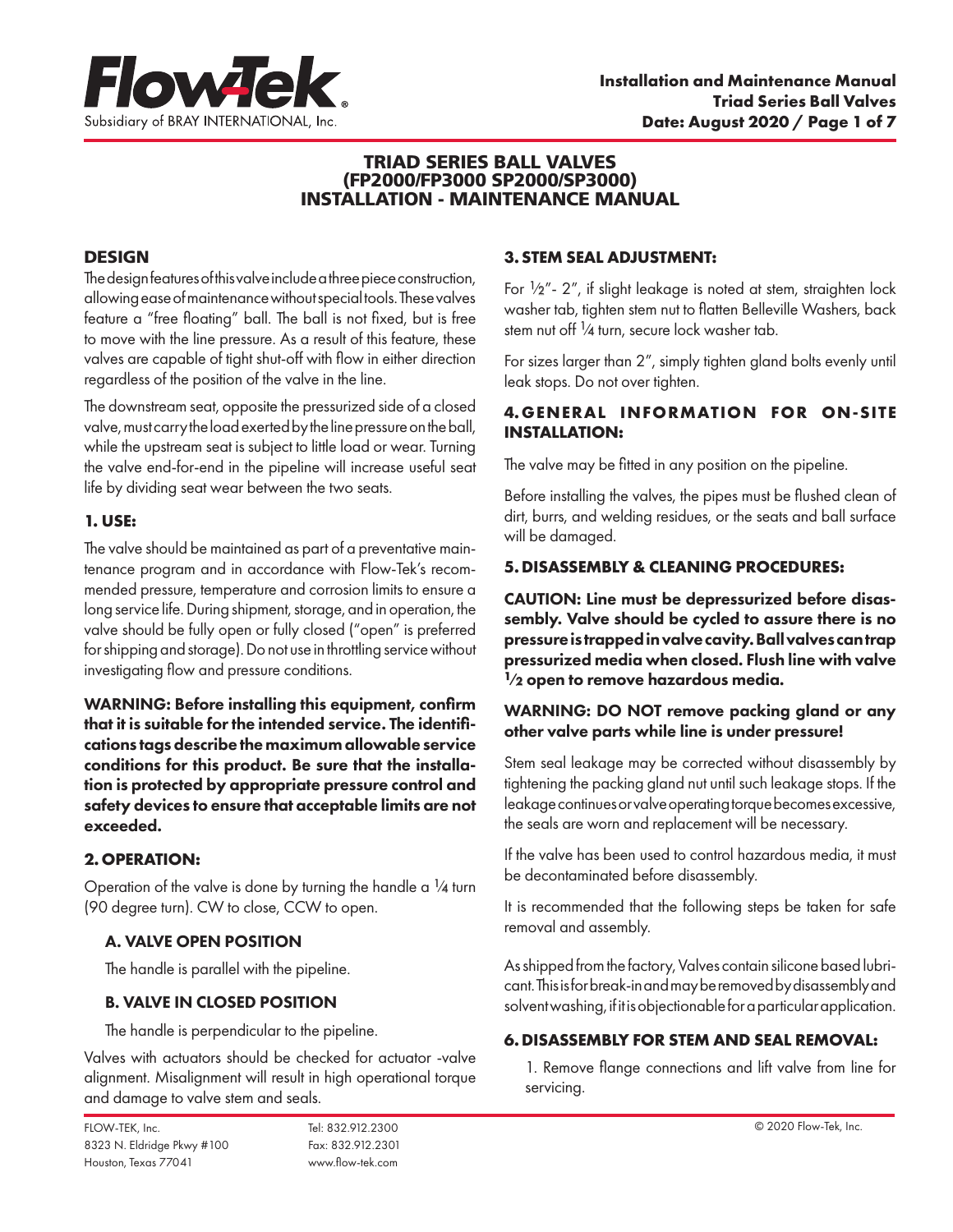

### TRIAD SERIES BALL VALVES (FP2000/FP3000 SP2000/SP3000) INSTALLATION - MAINTENANCE MANUAL

# **DESIGN**

The design features of this valve include a three piece construction, allowing ease of maintenance without special tools. These valves feature a "free floating" ball. The ball is not fixed, but is free to move with the line pressure. As a result of this feature, these valves are capable of tight shut-off with flow in either direction regardless of the position of the valve in the line.

The downstream seat, opposite the pressurized side of a closed valve, must carry the load exerted by the line pressure on the ball, while the upstream seat is subject to little load or wear. Turning the valve end-for-end in the pipeline will increase useful seat life by dividing seat wear between the two seats.

### **1. USE:**

The valve should be maintained as part of a preventative maintenance program and in accordance with Flow-Tek's recommended pressure, temperature and corrosion limits to ensure a long service life. During shipment, storage, and in operation, the valve should be fully open or fully closed ("open" is preferred for shipping and storage). Do not use in throttling service without investigating flow and pressure conditions.

WARNING: Before installing this equipment, confirm that it is suitable for the intended service. The identifications tags describe the maximum allowable service conditions for this product. Be sure that the installation is protected by appropriate pressure control and safety devices to ensure that acceptable limits are not exceeded.

# **2.OPERATION:**

Operation of the valve is done by turning the handle a  $\frac{1}{4}$  turn (90 degree turn). CW to close, CCW to open.

# A. VALVE OPEN POSITION

The handle is parallel with the pipeline.

### B. VALVE IN CLOSED POSITION

The handle is perpendicular to the pipeline.

Valves with actuators should be checked for actuator -valve alignment. Misalignment will result in high operational torque and damage to valve stem and seals.

### **3.STEM SEAL ADJUSTMENT:**

For  $\frac{1}{2}$ "- 2", if slight leakage is noted at stem, straighten lock washer tab, tighten stem nut to flatten Belleville Washers, back stem nut off<sup>1</sup>/4 turn, secure lock washer tab.

For sizes larger than 2", simply tighten gland bolts evenly until leak stops. Do not over tighten.

# **4.GENERAL INFORMATION FOR ON-SITE INSTALLATION:**

The valve may be fitted in any position on the pipeline.

Before installing the valves, the pipes must be flushed clean of dirt, burrs, and welding residues, or the seats and ball surface will be damaged.

### **5.DISASSEMBLY & CLEANING PROCEDURES:**

CAUTION: Line must be depressurized before disassembly. Valve should be cycled to assure there is no pressure is trapped in valve cavity. Ball valves can trap pressurized media when closed. Flush line with valve  $1/2$  open to remove hazardous media.

### WARNING: DO NOT remove packing gland or any other valve parts while line is under pressure!

Stem seal leakage may be corrected without disassembly by tightening the packing gland nut until such leakage stops. If the leakage continues or valve operating torque becomes excessive, the seals are worn and replacement will be necessary.

If the valve has been used to control hazardous media, it must be decontaminated before disassembly.

It is recommended that the following steps be taken for safe removal and assembly.

As shipped from the factory, Valves contain silicone based lubricant. This is for break-in and may be removed by disassembly and solvent washing, if it is objectionable for a particular application.

### **6.DISASSEMBLY FOR STEM AND SEAL REMOVAL:**

1. Remove flange connections and lift valve from line for servicing.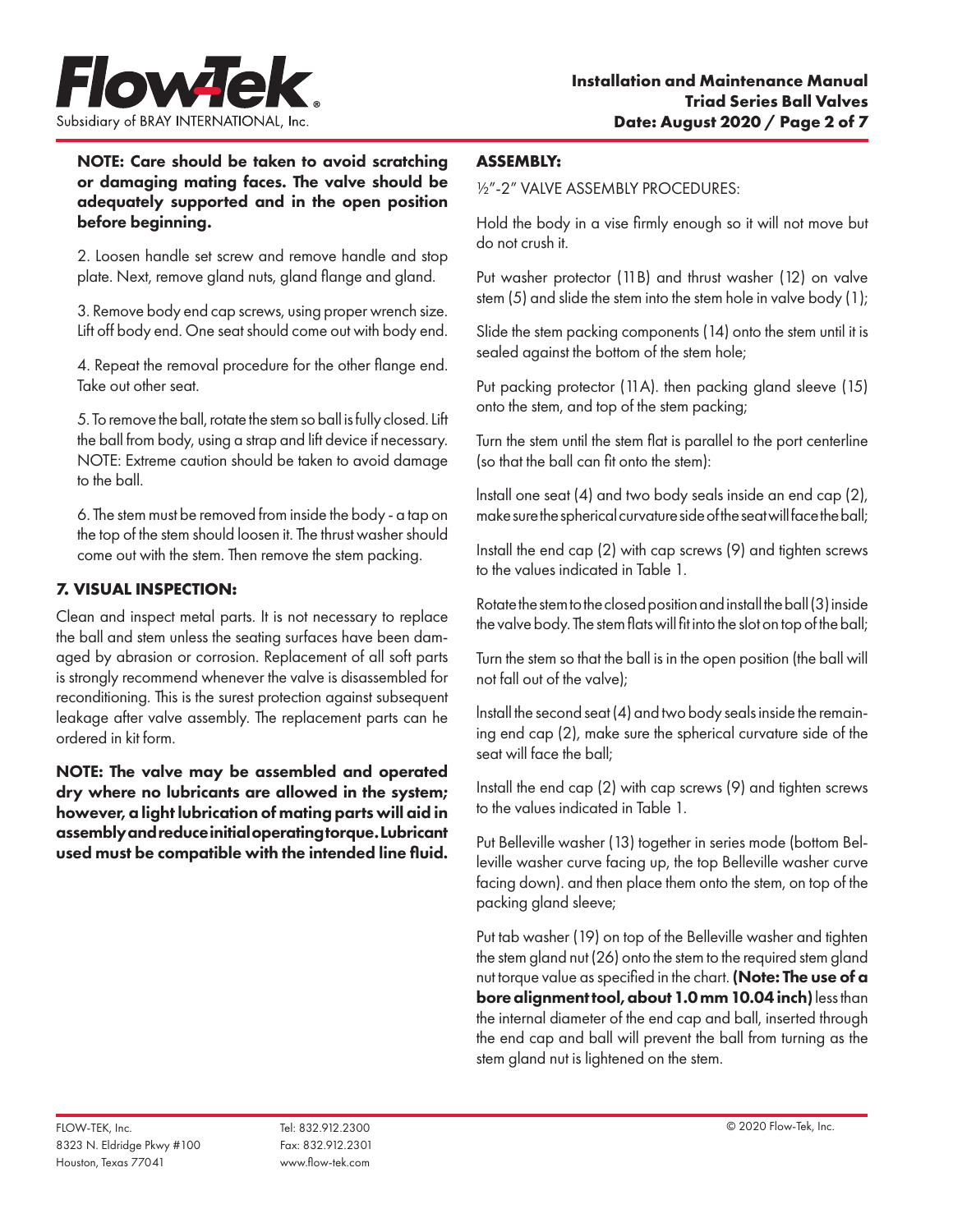

NOTE: Care should be taken to avoid scratching or damaging mating faces. The valve should be adequately supported and in the open position before beginning.

2. Loosen handle set screw and remove handle and stop plate. Next, remove gland nuts, gland flange and gland.

3. Remove body end cap screws, using proper wrench size. Lift off body end. One seat should come out with body end.

4. Repeat the removal procedure for the other flange end. Take out other seat.

5. To remove the ball, rotate the stem so ball is fully closed. Lift the ball from body, using a strap and lift device if necessary. NOTE: Extreme caution should be taken to avoid damage to the ball.

6. The stem must be removed from inside the body - a tap on the top of the stem should loosen it. The thrust washer should come out with the stem. Then remove the stem packing.

# **7. VISUAL INSPECTION:**

Clean and inspect metal parts. It is not necessary to replace the ball and stem unless the seating surfaces have been damaged by abrasion or corrosion. Replacement of all soft parts is strongly recommend whenever the valve is disassembled for reconditioning. This is the surest protection against subsequent leakage after valve assembly. The replacement parts can he ordered in kit form.

NOTE: The valve may be assembled and operated dry where no lubricants are allowed in the system; however, a light lubrication of mating parts will aid in assembly and reduce initial operating torque. Lubricant used must be compatible with the intended line fluid.

### **ASSEMBLY:**

½"-2" VALVE ASSEMBLY PROCEDURES:

Hold the body in a vise firmly enough so it will not move but do not crush it.

Put washer protector (11B) and thrust washer (12) on valve stem (5) and slide the stem into the stem hole in valve body (1);

Slide the stem packing components (14) onto the stem until it is sealed against the bottom of the stem hole;

Put packing protector (11A). then packing gland sleeve (15) onto the stem, and top of the stem packing;

Turn the stem until the stem flat is parallel to the port centerline (so that the ball can fit onto the stem):

lnstall one seat (4) and two body seals inside an end cap (2), make sure the spherical curvature side of the seat will face the ball;

Install the end cap (2) with cap screws (9) and tighten screws to the values indicated in Table 1.

Rotate the stem to the closed position and install the ball (3) inside the valve body. The stem flats will fit into the slot on top of the ball;

Turn the stem so that the ball is in the open position (the ball will not fall out of the valve);

lnstall the second seat (4) and two body seals inside the remaining end cap (2), make sure the spherical curvature side of the seat will face the ball;

Install the end cap (2) with cap screws (9) and tighten screws to the values indicated in Table 1.

Put Belleville washer (13) together in series mode (bottom Belleville washer curve facing up, the top Belleville washer curve facing down). and then place them onto the stem, on top of the packing gland sleeve;

Put tab washer (19) on top of the Belleville washer and tighten the stem gland nut (26) onto the stem to the required stem gland nut torque value as specified in the chart. (Note: The use of a bore alignment tool, about 1.0 mm 10.04 inch) less than the internal diameter of the end cap and ball, inserted through the end cap and ball will prevent the ball from turning as the stem gland nut is lightened on the stem.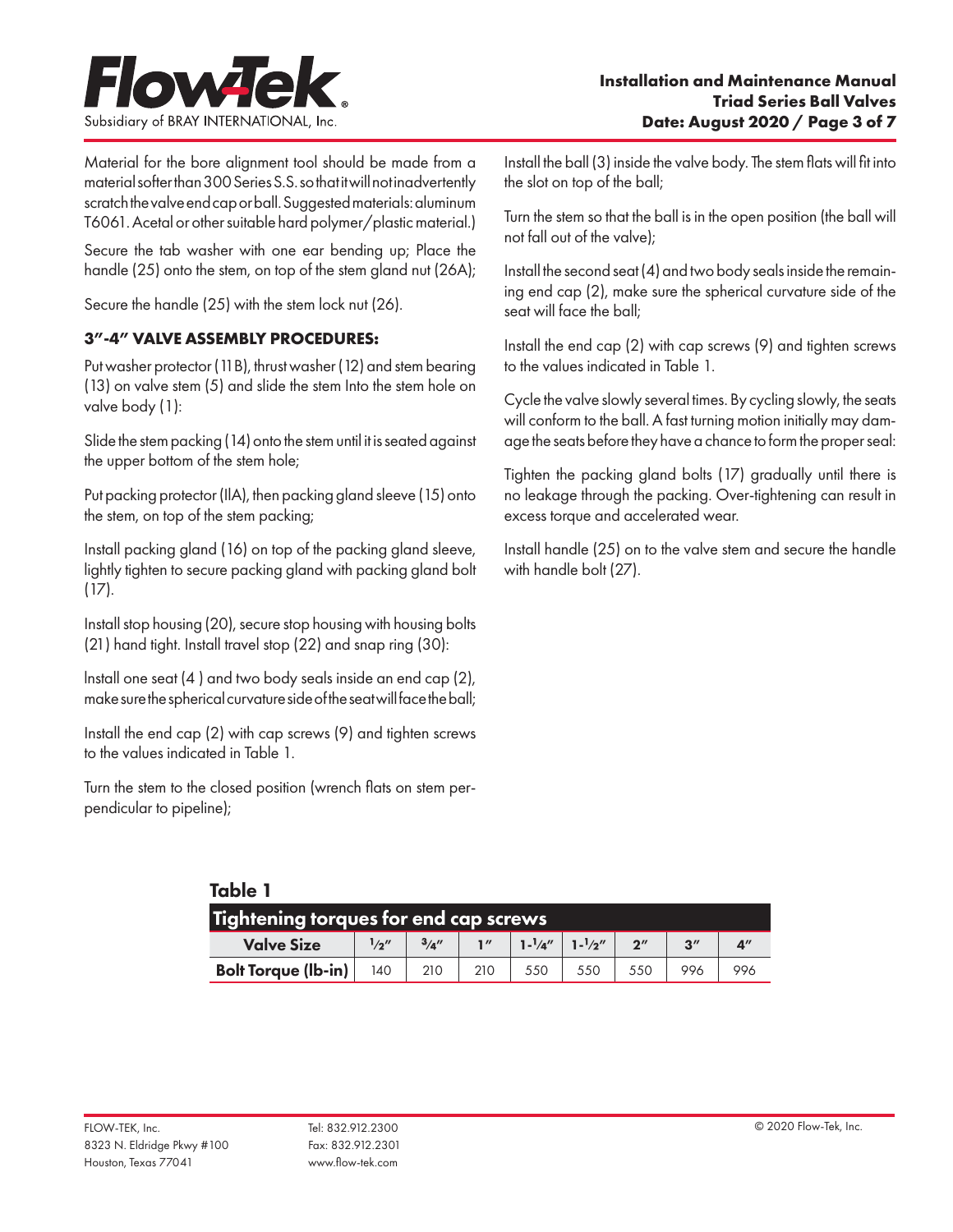

Material for the bore alignment tool should be made from a material softer than 300 Series S.S. so that it will not inadvertently scratch the valve end cap or ball. Suggested materials: aluminum T6061. Acetal or other suitable hard polymer/plastic material.)

Secure the tab washer with one ear bending up; Place the handle (25) onto the stem, on top of the stem gland nut (26A);

Secure the handle (25) with the stem lock nut (26).

# **3"-4" VALVE ASSEMBLY PROCEDURES:**

Put washer protector (11B), thrust washer (12) and stem bearing (13) on valve stem (5) and slide the stem Into the stem hole on valve body (1):

Slide the stem packing (14) onto the stem until it is seated against the upper bottom of the stem hole;

Put packing protector (IlA), then packing gland sleeve (15) onto the stem, on top of the stem packing;

Install packing gland (16) on top of the packing gland sleeve, lightly tighten to secure packing gland with packing gland bolt (17).

Install stop housing (20), secure stop housing with housing bolts (21) hand tight. Install travel stop (22) and snap ring (30):

lnstall one seat (4 ) and two body seals inside an end cap (2), make sure the spherical curvature side of the seat will face the ball;

Install the end cap (2) with cap screws (9) and tighten screws to the values indicated in Table 1.

Turn the stem to the closed position (wrench flats on stem perpendicular to pipeline);

Table 1

Install the ball (3) inside the valve body. The stem flats will fit into the slot on top of the ball;

Turn the stem so that the ball is in the open position (the ball will not fall out of the valve);

Install the second seat (4) and two body seals inside the remaining end cap (2), make sure the spherical curvature side of the seat will face the ball;

Install the end cap (2) with cap screws (9) and tighten screws to the values indicated in Table 1.

Cycle the valve slowly several times. By cycling slowly, the seats will conform to the ball. A fast turning motion initially may damage the seats before they have a chance to form the proper seal:

Tighten the packing gland bolts (17) gradually until there is no leakage through the packing. Over-tightening can result in excess torque and accelerated wear.

Install handle (25) on to the valve stem and secure the handle with handle bolt (27).

| Tightening torques for end cap screws |       |     |                |                                        |     |                    |                    |     |
|---------------------------------------|-------|-----|----------------|----------------------------------------|-----|--------------------|--------------------|-----|
| <b>Valve Size</b>                     | 1/a'' | 3/4 | $\blacksquare$ | $1 - \frac{1}{a''}$ 1- $\frac{1}{2''}$ |     | $2^{\prime\prime}$ | $2^{\prime\prime}$ | Д"  |
| <b>Bolt Torque (Ib-in)</b>            | 140   | 210 |                | 550                                    | 550 |                    |                    | 996 |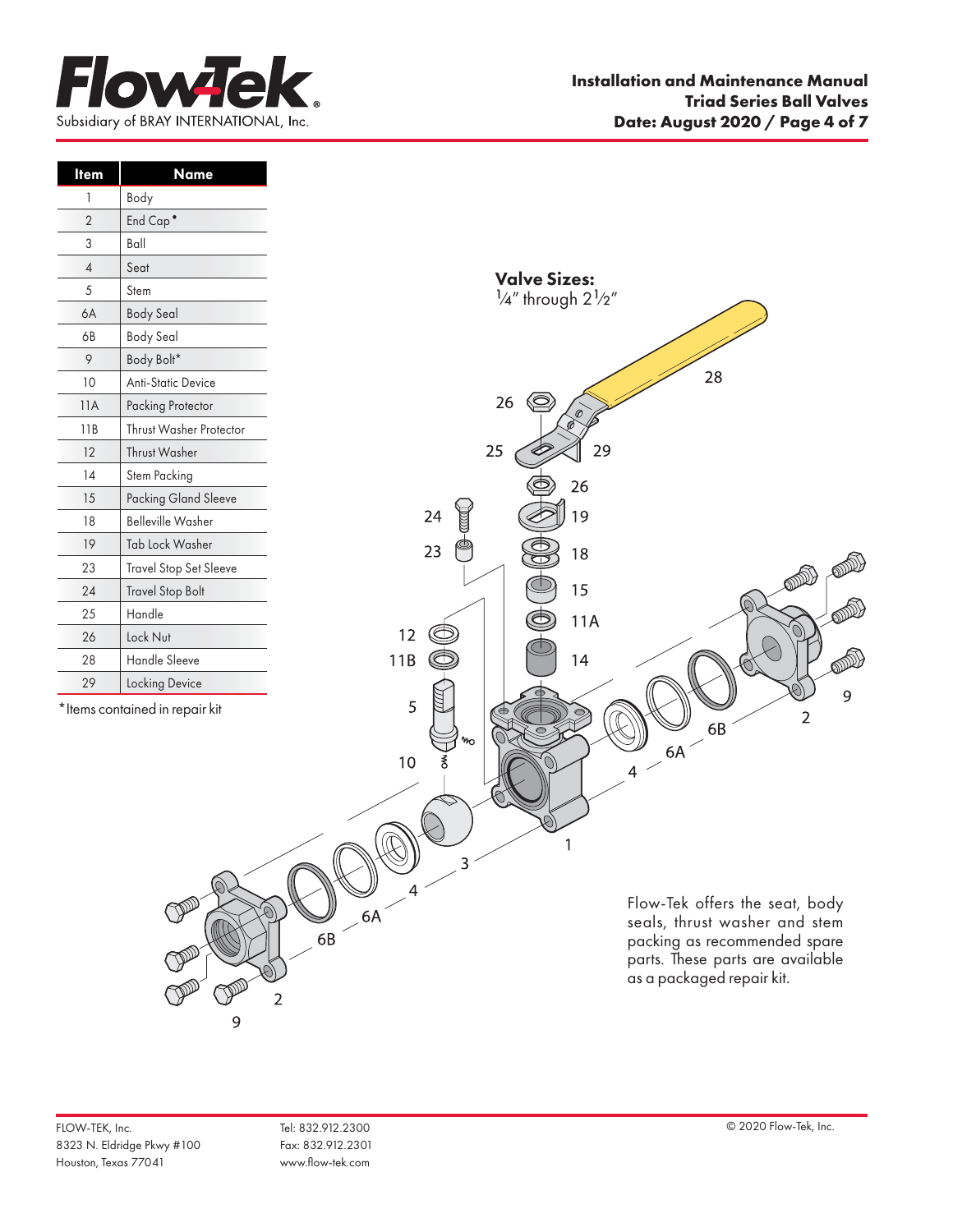

| <b>Item</b>    | <b>Name</b>                     |                                                                 |                                  |
|----------------|---------------------------------|-----------------------------------------------------------------|----------------------------------|
| 1              | Body                            |                                                                 |                                  |
| $\overline{2}$ | End Cap <sup>•</sup>            |                                                                 |                                  |
| 3              | $B$ all                         |                                                                 |                                  |
| $\overline{4}$ | Seat                            |                                                                 |                                  |
| $\sqrt{5}$     | Stem                            | <b>Valve Sizes:</b><br>$\frac{1}{4}$ " through $2\frac{1}{2}$ " |                                  |
| 6A             | <b>Body Seal</b>                |                                                                 |                                  |
| 6B             | <b>Body Seal</b>                |                                                                 |                                  |
| $\varphi$      | Body Bolt*                      |                                                                 |                                  |
| 10             | Anti-Static Device              |                                                                 | 28                               |
| 11A            | Packing Protector               | $\circledcirc$<br>26<br>$\mathcal{O}$                           |                                  |
| 11B            | Thrust Washer Protector         |                                                                 |                                  |
| 12             | Thrust Washer                   | 25                                                              | 29                               |
| 14             | Stem Packing                    | 26                                                              |                                  |
| 15             | <b>Packing Gland Sleeve</b>     |                                                                 |                                  |
| 18             | <b>Belleville Washer</b>        | 19<br>24                                                        |                                  |
| 19             | Tab Lock Washer                 | 23<br>18                                                        |                                  |
| 23             | <b>Travel Stop Set Sleeve</b>   |                                                                 |                                  |
| 24             | <b>Travel Stop Bolt</b>         | 15                                                              |                                  |
| 25             | Handle                          | 11A                                                             |                                  |
| 26             | Lock Nut                        | 12                                                              |                                  |
| 28             | Handle Sleeve                   | 11B<br>14                                                       | ODDI                             |
| 29             | Locking Device                  |                                                                 | 9                                |
|                | * Items contained in repair kit | 5                                                               | $\overline{2}$                   |
|                |                                 | m                                                               | 6B                               |
|                |                                 | $10\,$<br>శే                                                    | $-6A$                            |
|                |                                 |                                                                 | 4                                |
|                |                                 |                                                                 |                                  |
|                |                                 |                                                                 |                                  |
|                |                                 |                                                                 |                                  |
|                |                                 | ∍<br>$\mathcal{L}$                                              |                                  |
|                |                                 |                                                                 | Flow-Tek offers the seat, body   |
|                |                                 | $\odot$                                                         | seals, thrust washer and stem    |
|                |                                 | $68 \times 64$                                                  | packing as recommended spare     |
|                |                                 |                                                                 | parts. These parts are available |
|                |                                 |                                                                 | as a packaged repair kit.        |
|                |                                 | 2                                                               |                                  |

9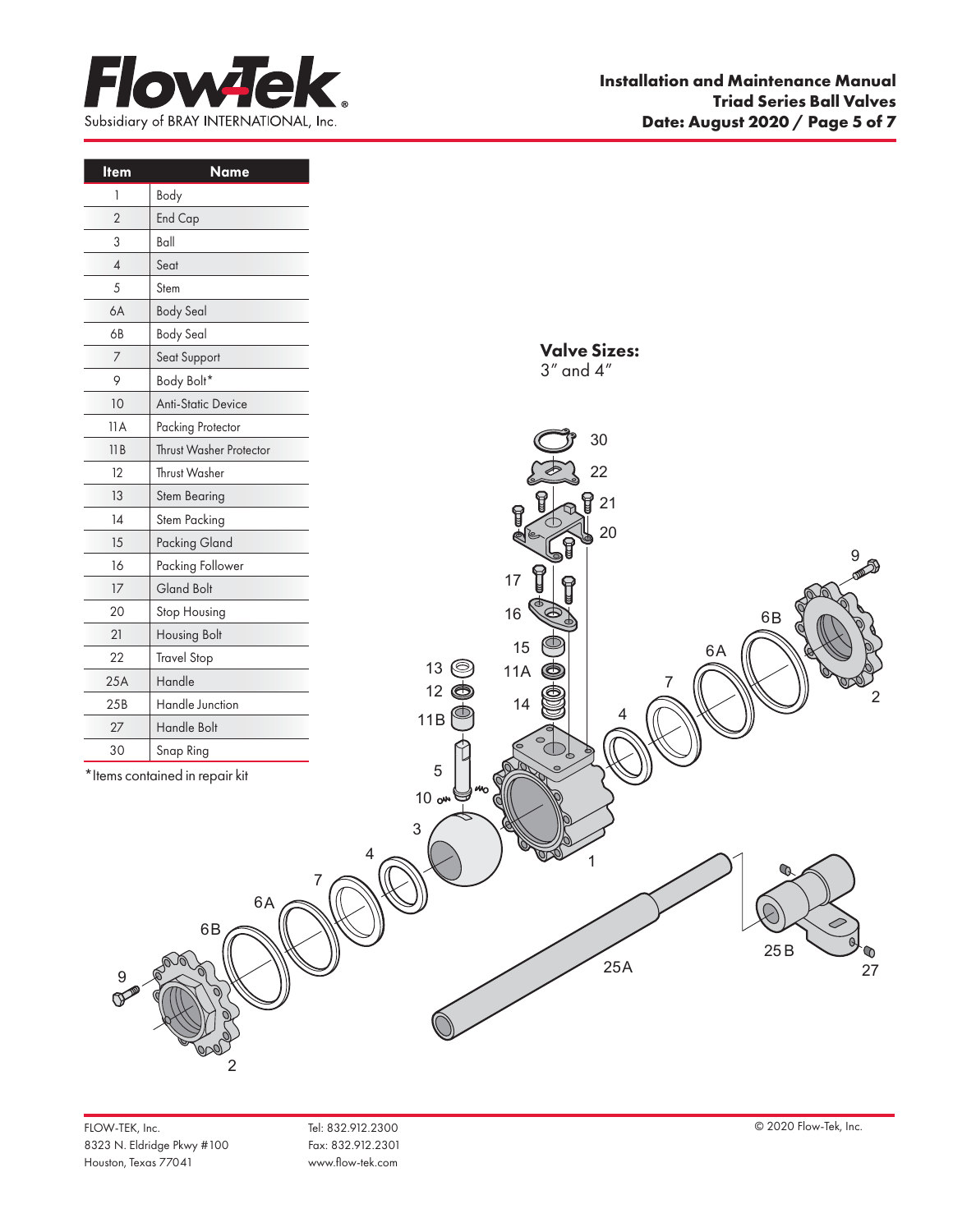

| <b>Item</b>               | Name                            |
|---------------------------|---------------------------------|
| 1                         | Body                            |
| $\sqrt{2}$                | End Cap                         |
| $\ensuremath{\mathsf{3}}$ | $B$ all                         |
| $\overline{4}$            | Seat                            |
| $\sqrt{5}$                | Stem                            |
| 6A                        | <b>Body Seal</b>                |
| 6B                        | <b>Body Seal</b>                |
| $\boldsymbol{7}$          | Seat Support                    |
| 9                         | Body Bolt*                      |
| $10$                      | Anti-Static Device              |
| 11A                       | Packing Protector               |
| 11B                       | Thrust Washer Protector         |
| 12                        | Thrust Washer                   |
| 13                        | Stem Bearing                    |
| 14                        | Stem Packing                    |
| 15                        | Packing Gland                   |
| 16                        | Packing Follower                |
| $17\,$                    | Gland Bolt                      |
| 20                        | Stop Housing                    |
| 21                        | Housing Bolt                    |
| 22                        | <b>Travel Stop</b>              |
| 25A                       | Handle                          |
| 25B                       | Handle Junction                 |
| $27\,$                    | Handle Bolt                     |
| 30                        | Snap Ring                       |
|                           | * Items contained in repair kit |
|                           |                                 |
|                           |                                 |
|                           |                                 |
|                           |                                 |
|                           | 6A                              |
|                           | 6B                              |
|                           |                                 |
| 9                         |                                 |
|                           |                                 |
|                           |                                 |
|                           |                                 |
|                           |                                 |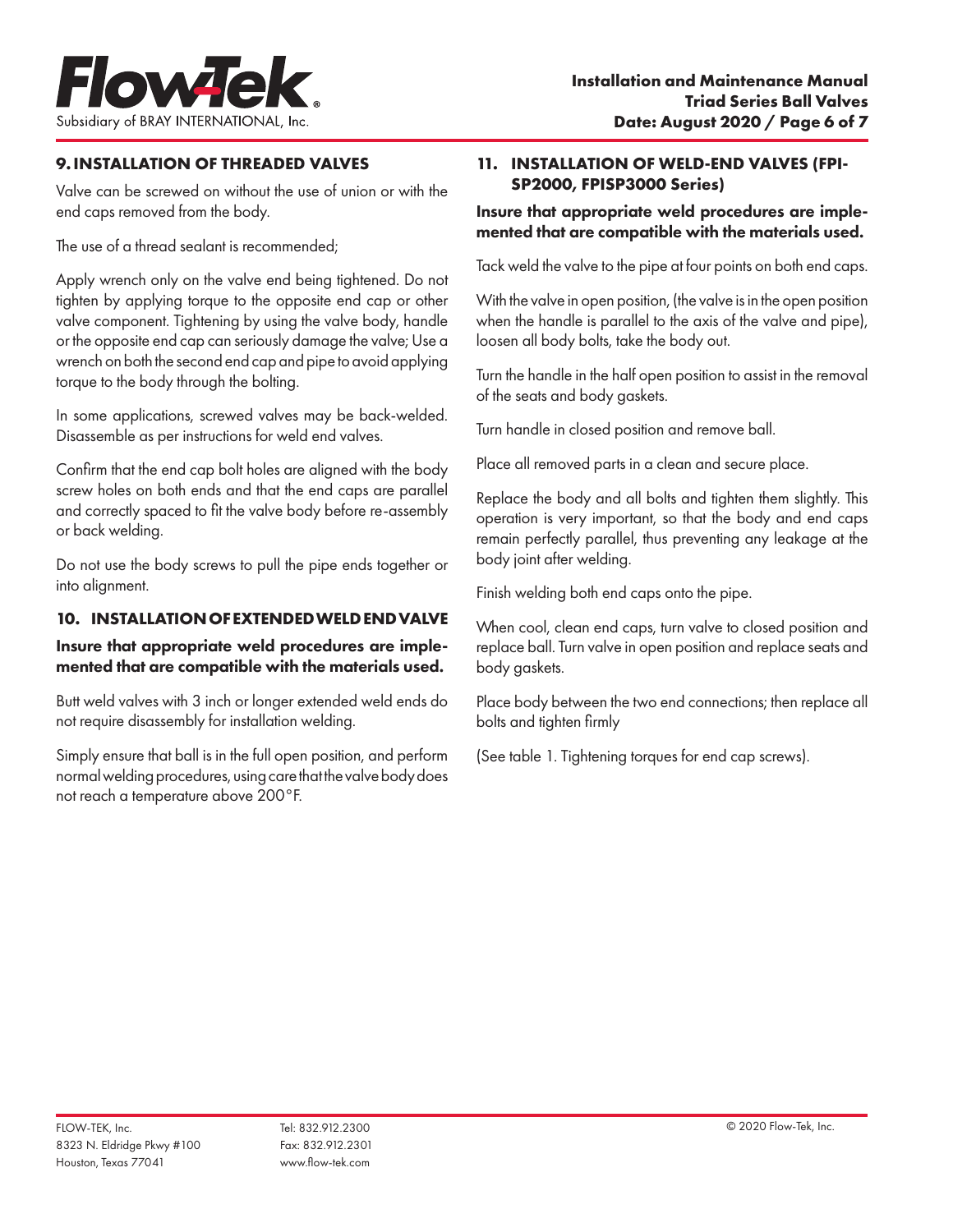

# **9.INSTALLATION OF THREADED VALVES**

Valve can be screwed on without the use of union or with the end caps removed from the body.

The use of a thread sealant is recommended;

Apply wrench only on the valve end being tightened. Do not tighten by applying torque to the opposite end cap or other valve component. Tightening by using the valve body, handle or the opposite end cap can seriously damage the valve; Use a wrench on both the second end cap and pipe to avoid applying torque to the body through the bolting.

In some applications, screwed valves may be back-welded. Disassemble as per instructions for weld end valves.

Confirm that the end cap bolt holes are aligned with the body screw holes on both ends and that the end caps are parallel and correctly spaced to fit the valve body before re-assembly or back welding.

Do not use the body screws to pull the pipe ends together or into alignment.

### **10. INSTALLATION OF EXTENDED WELD END VALVE**

### Insure that appropriate weld procedures are implemented that are compatible with the materials used.

Butt weld valves with 3 inch or longer extended weld ends do not require disassembly for installation welding.

Simply ensure that ball is in the full open position, and perform normal welding procedures, using care that the valve body does not reach a temperature above 200°F.

#### **11. INSTALLATION OF WELD-END VALVES (FPI-SP2000, FPISP3000 Series)**

### Insure that appropriate weld procedures are implemented that are compatible with the materials used.

Tack weld the valve to the pipe at four points on both end caps.

With the valve in open position, (the valve is in the open position when the handle is parallel to the axis of the valve and pipe), loosen all body bolts, take the body out.

Turn the handle in the half open position to assist in the removal of the seats and body gaskets.

Turn handle in closed position and remove ball.

Place all removed parts in a clean and secure place.

Replace the body and all bolts and tighten them slightly. This operation is very important, so that the body and end caps remain perfectly parallel, thus preventing any leakage at the body joint after welding.

Finish welding both end caps onto the pipe.

When cool, clean end caps, turn valve to closed position and replace ball. Turn valve in open position and replace seats and body gaskets.

Place body between the two end connections; then replace all bolts and tighten firmly

(See table 1. Tightening torques for end cap screws).